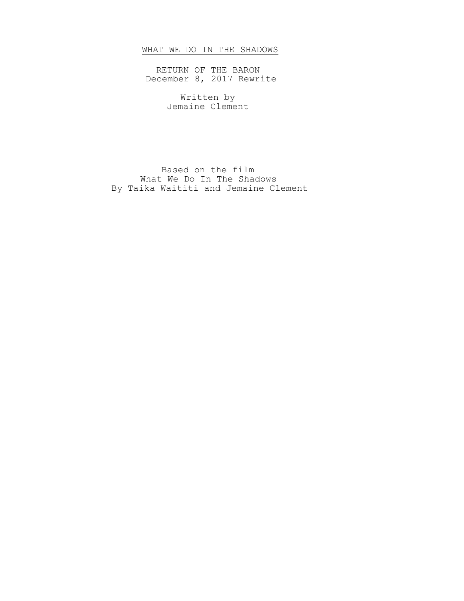# WHAT WE DO IN THE SHADOWS

RETURN OF THE BARON December 8, 2017 Rewrite

> Written by Jemaine Clement

Based on the film What We Do In The Shadows By Taika Waititi and Jemaine Clement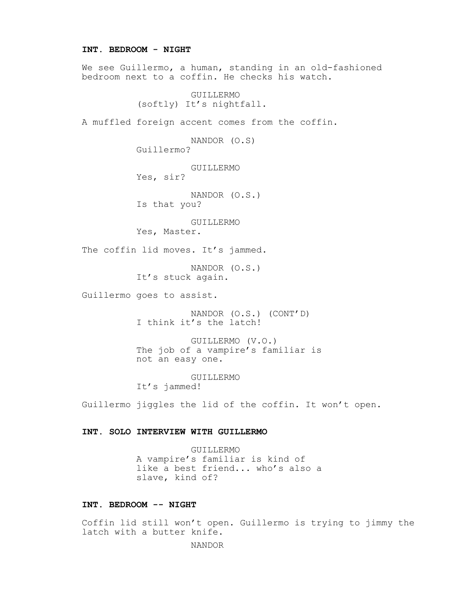### **INT. BEDROOM - NIGHT**

We see Guillermo, a human, standing in an old-fashioned bedroom next to a coffin. He checks his watch.

> GUILLERMO (softly) It's nightfall.

A muffled foreign accent comes from the coffin.

NANDOR (O.S) Guillermo?

GUILLERMO Yes, sir?

NANDOR (O.S.) Is that you?

GUILLERMO

Yes, Master.

The coffin lid moves. It's jammed.

NANDOR (O.S.) It's stuck again.

Guillermo goes to assist.

NANDOR (O.S.) (CONT'D) I think it's the latch!

GUILLERMO (V.O.) The job of a vampire's familiar is not an easy one.

GUILLERMO It's jammed!

Guillermo jiggles the lid of the coffin. It won't open.

# **INT. SOLO INTERVIEW WITH GUILLERMO**

GUILLERMO A vampire's familiar is kind of like a best friend... who's also a slave, kind of?

### **INT. BEDROOM -- NIGHT**

Coffin lid still won't open. Guillermo is trying to jimmy the latch with a butter knife.

NANDOR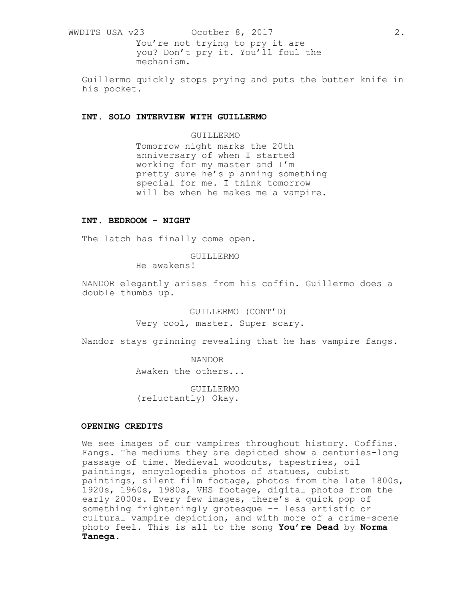WWDITS USA v23 0cotber 8, 2017 2. You're not trying to pry it are you? Don't pry it. You'll foul the

Guillermo quickly stops prying and puts the butter knife in his pocket.

# **INT. SOLO INTERVIEW WITH GUILLERMO**

mechanism.

### GUILLERMO

Tomorrow night marks the 20th anniversary of when I started working for my master and I'm pretty sure he's planning something special for me. I think tomorrow will be when he makes me a vampire.

### **INT. BEDROOM - NIGHT**

The latch has finally come open.

#### GUILLERMO

He awakens!

NANDOR elegantly arises from his coffin. Guillermo does a double thumbs up.

> GUILLERMO (CONT'D) Very cool, master. Super scary.

Nandor stays grinning revealing that he has vampire fangs.

NANDOR

Awaken the others...

GUILLERMO (reluctantly) Okay.

# **OPENING CREDITS**

We see images of our vampires throughout history. Coffins. Fangs. The mediums they are depicted show a centuries-long passage of time. Medieval woodcuts, tapestries, oil paintings, encyclopedia photos of statues, cubist paintings, silent film footage, photos from the late 1800s, 1920s, 1960s, 1980s, VHS footage, digital photos from the early 2000s. Every few images, there's a quick pop of something frighteningly grotesque -- less artistic or cultural vampire depiction, and with more of a crime-scene photo feel. This is all to the song **You're Dead** by **Norma Tanega**.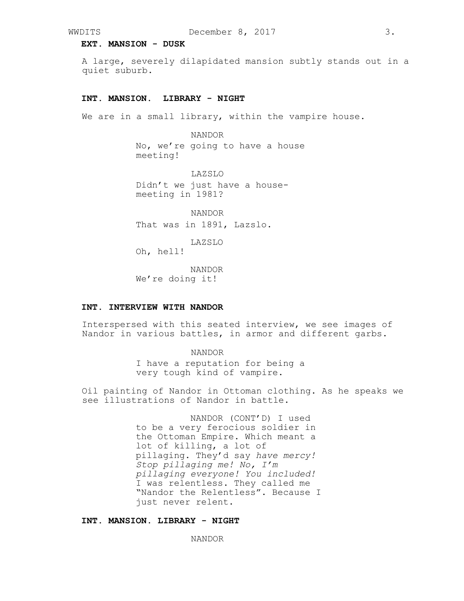### **EXT. MANSION - DUSK**

A large, severely dilapidated mansion subtly stands out in a quiet suburb.

### **INT. MANSION. LIBRARY - NIGHT**

We are in a small library, within the vampire house.

NANDOR

No, we're going to have a house meeting!

LAZSLO Didn't we just have a housemeeting in 1981?

NANDOR That was in 1891, Lazslo.

LAZSLO

Oh, hell!

NANDOR We're doing it!

### **INT. INTERVIEW WITH NANDOR**

Interspersed with this seated interview, we see images of Nandor in various battles, in armor and different garbs.

NANDOR

I have a reputation for being a very tough kind of vampire.

Oil painting of Nandor in Ottoman clothing. As he speaks we see illustrations of Nandor in battle.

> NANDOR (CONT'D) I used to be a very ferocious soldier in the Ottoman Empire. Which meant a lot of killing, a lot of pillaging. They'd say *have mercy! Stop pillaging me! No, I'm pillaging everyone! You included!*  I was relentless. They called me "Nandor the Relentless". Because I just never relent.

# **INT. MANSION. LIBRARY - NIGHT**

NANDOR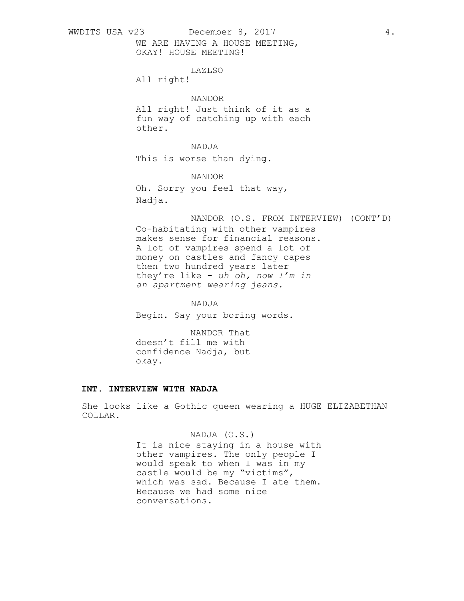WWDITS USA v23 December 8, 2017 4.

WE ARE HAVING A HOUSE MEETING, OKAY! HOUSE MEETING!

LAZLSO

All right!

# NANDOR

All right! Just think of it as a fun way of catching up with each other.

NADJA

This is worse than dying.

NANDOR

Oh. Sorry you feel that way, Nadja.

NANDOR (O.S. FROM INTERVIEW) (CONT'D)

Co-habitating with other vampires makes sense for financial reasons. A lot of vampires spend a lot of money on castles and fancy capes then two hundred years later they're like - *uh oh, now I'm in an apartment wearing jeans*.

NADJA

Begin. Say your boring words.

NANDOR That doesn't fill me with confidence Nadja, but okay.

# **INT. INTERVIEW WITH NADJA**

She looks like a Gothic queen wearing a HUGE ELIZABETHAN COLLAR.

# NADJA (O.S.)

It is nice staying in a house with other vampires. The only people I would speak to when I was in my castle would be my "victims", which was sad. Because I ate them. Because we had some nice conversations.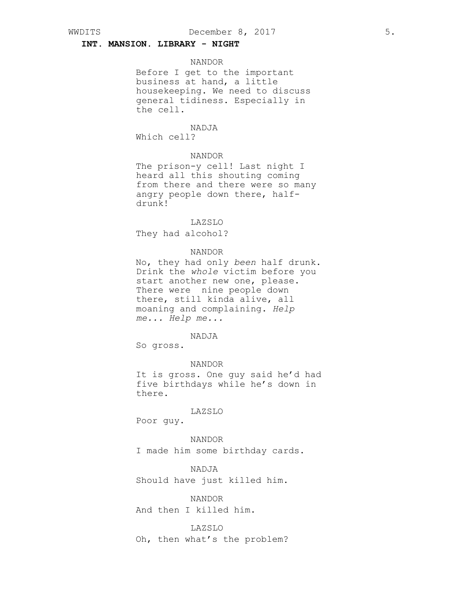# **INT. MANSION. LIBRARY - NIGHT**

#### NANDOR

Before I get to the important business at hand, a little housekeeping. We need to discuss general tidiness. Especially in the cell.

# NADJA

Which cell?

# NANDOR

The prison-y cell! Last night I heard all this shouting coming from there and there were so many angry people down there, halfdrunk!

### LAZSLO

They had alcohol?

#### NANDOR

No, they had only *been* half drunk. Drink the *whole* victim before you start another new one, please. There were nine people down there, still kinda alive, all moaning and complaining. *Help me... Help me...*

### NADJA

So gross.

NANDOR

It is gross. One guy said he'd had five birthdays while he's down in there.

### LAZSLO

Poor guy.

# NANDOR

I made him some birthday cards.

# NADJA

Should have just killed him.

### NANDOR

And then I killed him.

### LAZSLO

Oh, then what's the problem?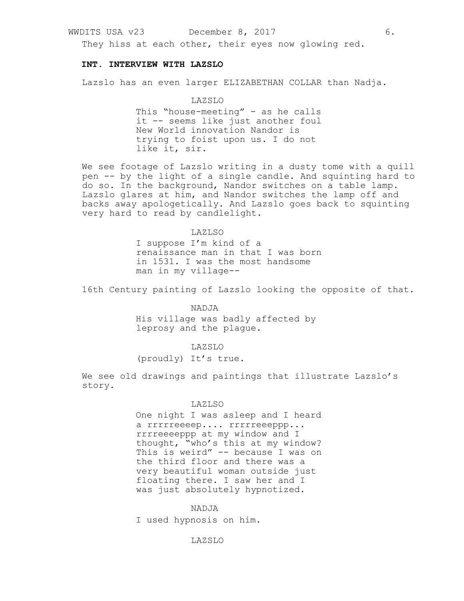They hiss at each other, their eyes now glowing red.

### **INT. INTERVIEW WITH LAZSLO**

Lazslo has an even larger ELIZABETHAN COLLAR than Nadja.

### LAZSLO

This "house-meeting" - as he calls it -- seems like just another foul New World innovation Nandor is trying to foist upon us. I do not like it, sir.

We see footage of Lazslo writing in a dusty tome with a quill pen -- by the light of a single candle. And squinting hard to do so. In the background, Nandor switches on a table lamp. Lazslo glares at him, and Nandor switches the lamp off and backs away apologetically. And Lazslo goes back to squinting very hard to read by candlelight.

### LAZLSO

I suppose I'm kind of a renaissance man in that I was born in 1531. I was the most handsome man in my village--

16th Century painting of Lazslo looking the opposite of that.

### NADJA

His village was badly affected by leprosy and the plague.

# LAZSLO

(proudly) It's true.

We see old drawings and paintings that illustrate Lazslo's story.

#### LAZLSO

One night I was asleep and I heard a rrrrreeeep.... rrrrreeeppp... rrrreeeeppp at my window and I thought, "who's this at my window? This is weird" -- because I was on the third floor and there was a very beautiful woman outside just floating there. I saw her and I was just absolutely hypnotized.

### NADJA

I used hypnosis on him.

### LAZSLO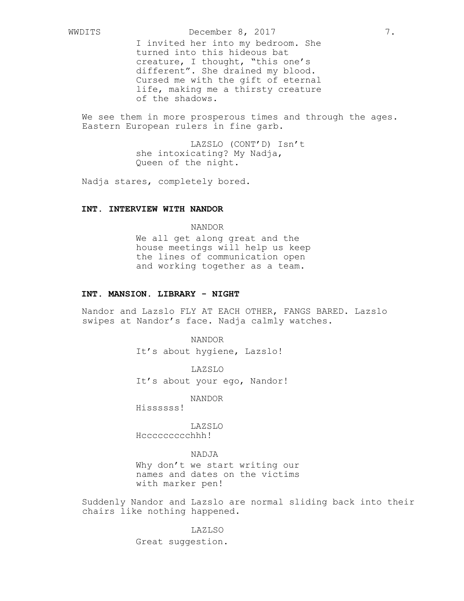I invited her into my bedroom. She turned into this hideous bat creature, I thought, "this one's different". She drained my blood. Cursed me with the gift of eternal life, making me a thirsty creature of the shadows.

We see them in more prosperous times and through the ages. Eastern European rulers in fine garb.

> LAZSLO (CONT'D) Isn't she intoxicating? My Nadja, Queen of the night.

Nadja stares, completely bored.

# **INT. INTERVIEW WITH NANDOR**

NANDOR We all get along great and the house meetings will help us keep the lines of communication open and working together as a team.

# **INT. MANSION. LIBRARY - NIGHT**

Nandor and Lazslo FLY AT EACH OTHER, FANGS BARED. Lazslo swipes at Nandor's face. Nadja calmly watches.

NANDOR

It's about hygiene, Lazslo!

LAZSLO It's about your ego, Nandor!

NANDOR

Hissssss!

LAZSLO Hccccccccchhh!

NADJA

Why don't we start writing our names and dates on the victims with marker pen!

Suddenly Nandor and Lazslo are normal sliding back into their chairs like nothing happened.

LAZLSO

Great suggestion.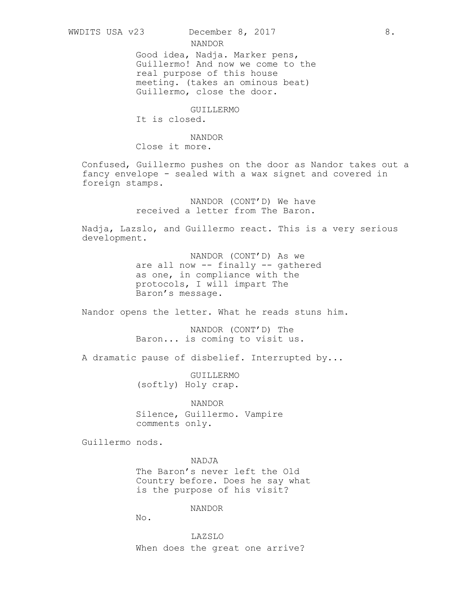NANDOR

Good idea, Nadja. Marker pens, Guillermo! And now we come to the real purpose of this house meeting. (takes an ominous beat) Guillermo, close the door.

GUILLERMO

It is closed.

NANDOR Close it more.

Confused, Guillermo pushes on the door as Nandor takes out a fancy envelope - sealed with a wax signet and covered in foreign stamps.

> NANDOR (CONT'D) We have received a letter from The Baron.

Nadja, Lazslo, and Guillermo react. This is a very serious development.

> NANDOR (CONT'D) As we are all now -- finally -- gathered as one, in compliance with the protocols, I will impart The Baron's message.

Nandor opens the letter. What he reads stuns him.

NANDOR (CONT'D) The Baron... is coming to visit us.

A dramatic pause of disbelief. Interrupted by...

GUILLERMO (softly) Holy crap.

NANDOR Silence, Guillermo. Vampire comments only.

Guillermo nods.

NADJA

The Baron's never left the Old Country before. Does he say what is the purpose of his visit?

NANDOR

No.

LAZSLO When does the great one arrive?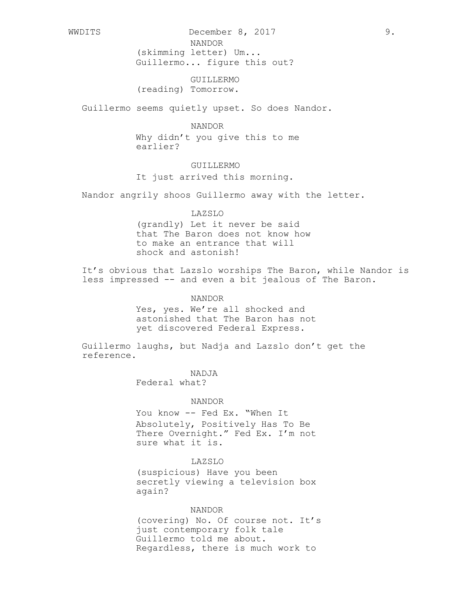WWDITS December 8, 2017 9. NANDOR

(skimming letter) Um...

Guillermo... figure this out?

GUILLERMO (reading) Tomorrow.

Guillermo seems quietly upset. So does Nandor.

NANDOR Why didn't you give this to me

earlier?

# GUILLERMO

It just arrived this morning.

Nandor angrily shoos Guillermo away with the letter.

### LAZSLO

(grandly) Let it never be said that The Baron does not know how to make an entrance that will shock and astonish!

It's obvious that Lazslo worships The Baron, while Nandor is less impressed -- and even a bit jealous of The Baron.

### NANDOR

Yes, yes. We're all shocked and astonished that The Baron has not yet discovered Federal Express.

Guillermo laughs, but Nadja and Lazslo don't get the reference.

NADJA

Federal what?

#### NANDOR

You know -- Fed Ex. "When It Absolutely, Positively Has To Be There Overnight." Fed Ex. I'm not sure what it is.

# LAZSLO

(suspicious) Have you been secretly viewing a television box again?

# NANDOR

(covering) No. Of course not. It's just contemporary folk tale Guillermo told me about. Regardless, there is much work to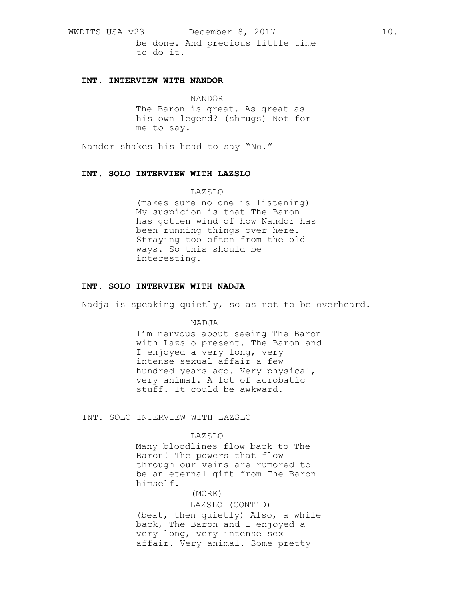WWDITS USA v23 December 8, 2017 10. be done. And precious little time to do it.

# **INT. INTERVIEW WITH NANDOR**

# NANDOR

The Baron is great. As great as his own legend? (shrugs) Not for me to say.

Nandor shakes his head to say "No."

# **INT. SOLO INTERVIEW WITH LAZSLO**

# LAZSLO

(makes sure no one is listening) My suspicion is that The Baron has gotten wind of how Nandor has been running things over here. Straying too often from the old ways. So this should be interesting.

# **INT. SOLO INTERVIEW WITH NADJA**

Nadja is speaking quietly, so as not to be overheard.

NADJA

I'm nervous about seeing The Baron with Lazslo present. The Baron and I enjoyed a very long, very intense sexual affair a few hundred years ago. Very physical, very animal. A lot of acrobatic stuff. It could be awkward.

INT. SOLO INTERVIEW WITH LAZSLO

### LAZSLO

Many bloodlines flow back to The Baron! The powers that flow through our veins are rumored to be an eternal gift from The Baron himself.

# (MORE)

LAZSLO (CONT'D)

(beat, then quietly) Also, a while back, The Baron and I enjoyed a very long, very intense sex affair. Very animal. Some pretty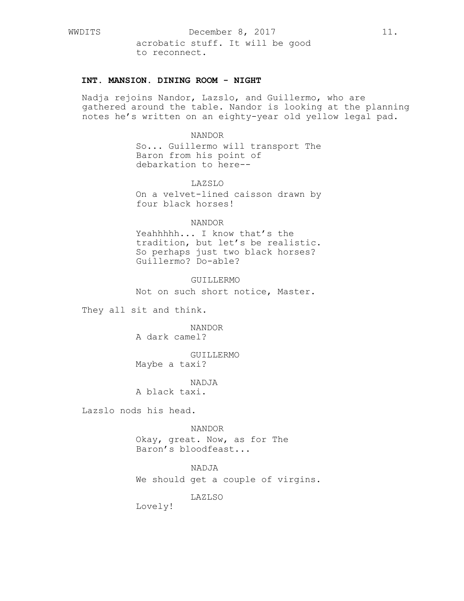# **INT. MANSION. DINING ROOM - NIGHT**

Nadja rejoins Nandor, Lazslo, and Guillermo, who are gathered around the table. Nandor is looking at the planning notes he's written on an eighty-year old yellow legal pad.

### NANDOR

So... Guillermo will transport The Baron from his point of debarkation to here--

# LAZSLO

On a velvet-lined caisson drawn by four black horses!

### NANDOR

Yeahhhhh... I know that's the tradition, but let's be realistic. So perhaps just two black horses? Guillermo? Do-able?

### GUILLERMO

Not on such short notice, Master.

They all sit and think.

NANDOR A dark camel?

GUILLERMO Maybe a taxi?

NADJA

A black taxi.

Lazslo nods his head.

NANDOR

Okay, great. Now, as for The Baron's bloodfeast...

NADJA

We should get a couple of virgins.

LAZLSO

Lovely!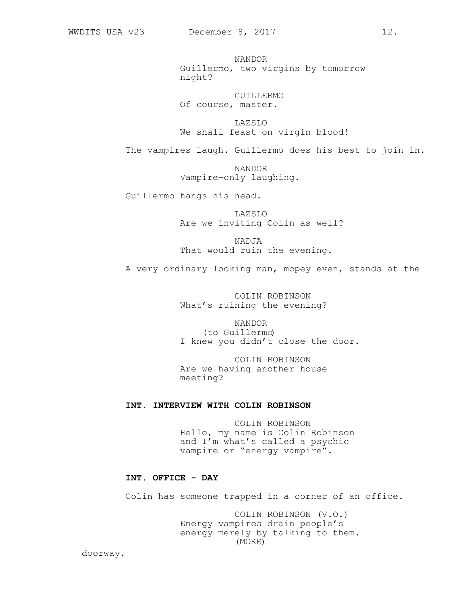NANDOR Guillermo, two virgins by tomorrow night?

GUILLERMO Of course, master.

LAZSLO We shall feast on virgin blood!

The vampires laugh. Guillermo does his best to join in.

NANDOR Vampire-only laughing.

Guillermo hangs his head.

LAZSLO Are we inviting Colin as well?

NADJA That would ruin the evening.

A very ordinary looking man, mopey even, stands at the

COLIN ROBINSON What's ruining the evening?

NANDOR (to Guillermo) I knew you didn't close the door.

COLIN ROBINSON Are we having another house meeting?

# **INT. INTERVIEW WITH COLIN ROBINSON**

COLIN ROBINSON Hello, my name is Colin Robinson and I'm what's called a psychic vampire or "energy vampire".

### **INT. OFFICE - DAY**

Colin has someone trapped in a corner of an office.

COLIN ROBINSON (V.O.) Energy vampires drain people's energy merely by talking to them. (MORE)

doorway.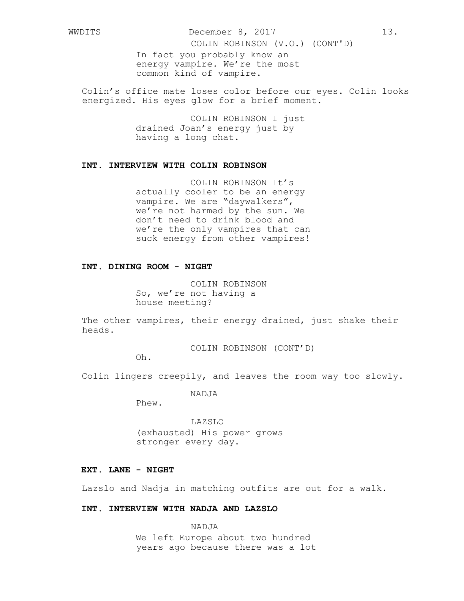WWDITS December 8, 2017 13.

COLIN ROBINSON (V.O.) (CONT'D)

In fact you probably know an energy vampire. We're the most common kind of vampire.

Colin's office mate loses color before our eyes. Colin looks energized. His eyes glow for a brief moment.

> COLIN ROBINSON I just drained Joan's energy just by having a long chat.

### **INT. INTERVIEW WITH COLIN ROBINSON**

COLIN ROBINSON It's actually cooler to be an energy vampire. We are "daywalkers", we're not harmed by the sun. We don't need to drink blood and we're the only vampires that can suck energy from other vampires!

### **INT. DINING ROOM - NIGHT**

COLIN ROBINSON So, we're not having a house meeting?

The other vampires, their energy drained, just shake their heads.

COLIN ROBINSON (CONT'D)

Oh.

Colin lingers creepily, and leaves the room way too slowly.

NADJA

Phew.

LAZSLO (exhausted) His power grows stronger every day.

# **EXT. LANE - NIGHT**

Lazslo and Nadja in matching outfits are out for a walk.

# **INT. INTERVIEW WITH NADJA AND LAZSLO**

NADJA We left Europe about two hundred years ago because there was a lot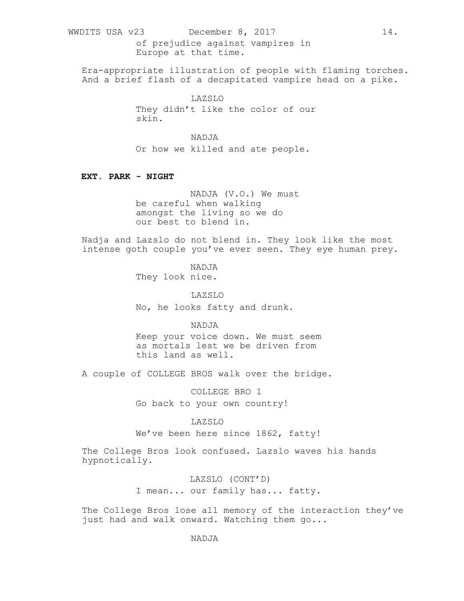WWDITS USA v23 December 8, 2017 14. of prejudice against vampires in Europe at that time.

Era-appropriate illustration of people with flaming torches. And a brief flash of a decapitated vampire head on a pike.

> LAZSLO They didn't like the color of our skin.

# NADJA

Or how we killed and ate people.

# **EXT. PARK - NIGHT**

NADJA (V.O.) We must be careful when walking amongst the living so we do our best to blend in.

Nadja and Lazslo do not blend in. They look like the most intense goth couple you've ever seen. They eye human prey.

> NADJA They look nice.

LAZSLO No, he looks fatty and drunk.

# NADJA

Keep your voice down. We must seem as mortals lest we be driven from this land as well.

A couple of COLLEGE BROS walk over the bridge.

COLLEGE BRO 1

Go back to your own country!

# LAZSLO

We've been here since 1862, fatty!

The College Bros look confused. Lazslo waves his hands hypnotically.

LAZSLO (CONT'D)

I mean... our family has... fatty.

The College Bros lose all memory of the interaction they've just had and walk onward. Watching them go...

# NADJA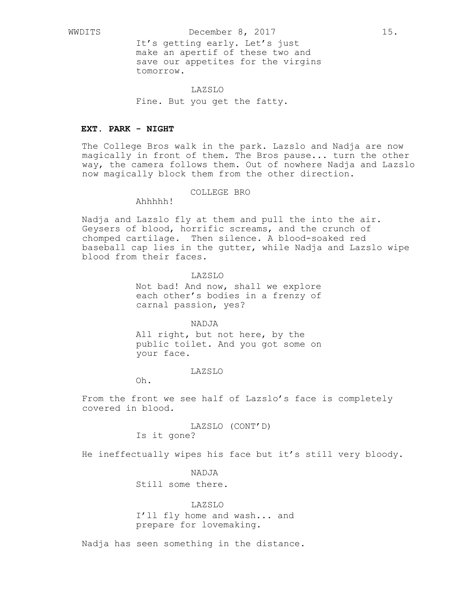It's getting early. Let's just make an apertif of these two and save our appetites for the virgins tomorrow.

### LAZSLO

Fine. But you get the fatty.

### **EXT. PARK - NIGHT**

The College Bros walk in the park. Lazslo and Nadja are now magically in front of them. The Bros pause... turn the other magrouring in rrong of onom. The gread flucture cannot be concrete way, the camera follows them. Out of nowhere Nadja and Lazslo now magically block them from the other direction.

### COLLEGE BRO

Ahhhhh!

Nadja and Lazslo fly at them and pull the into the air. Geysers of blood, horrific screams, and the crunch of chomped cartilage. Then silence. A blood-soaked red baseball cap lies in the gutter, while Nadja and Lazslo wipe blood from their faces.

### LAZSLO

Not bad! And now, shall we explore each other's bodies in a frenzy of carnal passion, yes?

NADJA

All right, but not here, by the public toilet. And you got some on your face.

#### LAZSLO

Oh.

From the front we see half of Lazslo's face is completely covered in blood.

> LAZSLO (CONT'D) Is it gone?

He ineffectually wipes his face but it's still very bloody.

NADJA

Still some there.

#### LAZSLO

I'll fly home and wash... and prepare for lovemaking.

Nadja has seen something in the distance.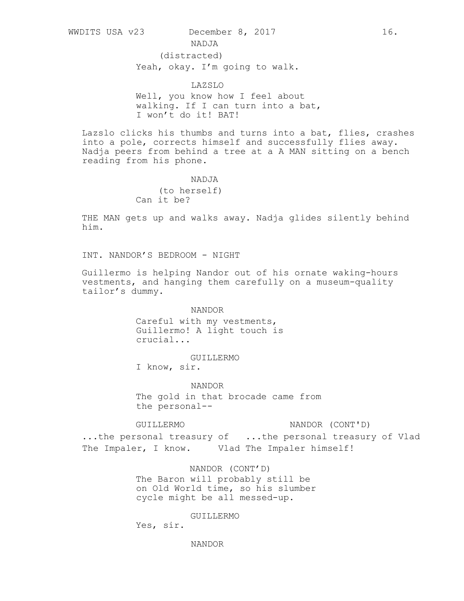NADJA

(distracted)

Yeah, okay. I'm going to walk.

LAZSLO

Well, you know how I feel about walking. If I can turn into a bat, I won't do it! BAT!

Lazslo clicks his thumbs and turns into a bat, flies, crashes into a pole, corrects himself and successfully flies away. Nadja peers from behind a tree at a A MAN sitting on a bench reading from his phone.

> NADJA (to herself) Can it be?

THE MAN gets up and walks away. Nadja glides silently behind him.

INT. NANDOR'S BEDROOM - NIGHT

Guillermo is helping Nandor out of his ornate waking-hours vestments, and hanging them carefully on a museum-quality tailor's dummy.

NANDOR

Careful with my vestments, Guillermo! A light touch is crucial...

GUILLERMO

I know, sir.

NANDOR

The gold in that brocade came from the personal--

GUILLERMO NANDOR (CONT'D)

...the personal treasury of ...the personal treasury of Vlad The Impaler, I know. Vlad The Impaler himself!

> NANDOR (CONT'D) The Baron will probably still be on Old World time, so his slumber cycle might be all messed-up.

> > GUILLERMO

Yes, sir.

NANDOR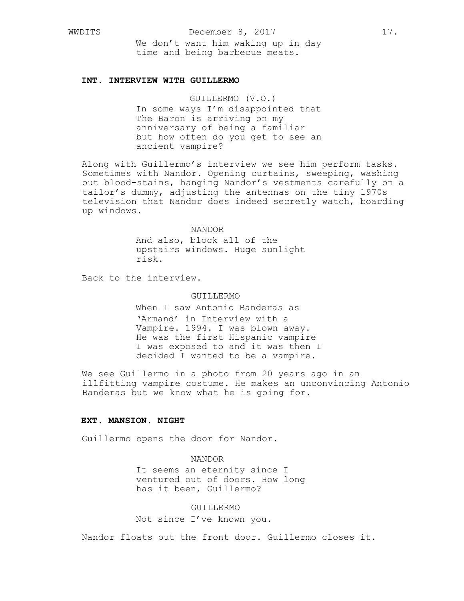WWDITS December 8, 2017 17.

We don't want him waking up in day time and being barbecue meats.

### **INT. INTERVIEW WITH GUILLERMO**

GUILLERMO (V.O.) In some ways I'm disappointed that The Baron is arriving on my anniversary of being a familiar but how often do you get to see an ancient vampire?

Along with Guillermo's interview we see him perform tasks. Sometimes with Nandor. Opening curtains, sweeping, washing out blood-stains, hanging Nandor's vestments carefully on a tailor's dummy, adjusting the antennas on the tiny 1970s television that Nandor does indeed secretly watch, boarding up windows.

### NANDOR

And also, block all of the upstairs windows. Huge sunlight risk.

Back to the interview.

# GUILLERMO

When I saw Antonio Banderas as 'Armand' in Interview with a Vampire. 1994. I was blown away. He was the first Hispanic vampire I was exposed to and it was then I decided I wanted to be a vampire.

We see Guillermo in a photo from 20 years ago in an illfitting vampire costume. He makes an unconvincing Antonio Banderas but we know what he is going for.

### **EXT. MANSION. NIGHT**

Guillermo opens the door for Nandor.

NANDOR

It seems an eternity since I ventured out of doors. How long has it been, Guillermo?

### GUILLERMO

Not since I've known you.

Nandor floats out the front door. Guillermo closes it.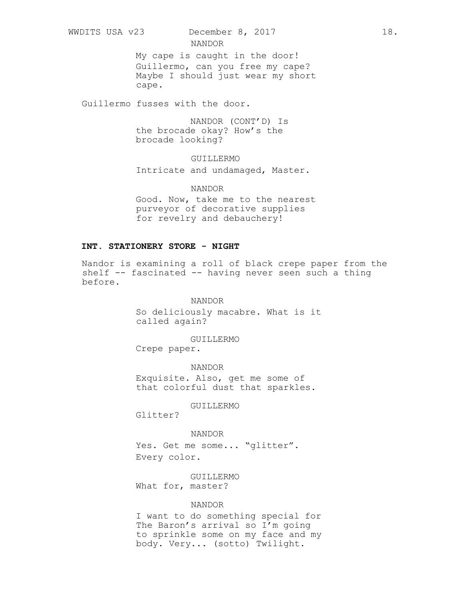My cape is caught in the door! Guillermo, can you free my cape? Maybe I should just wear my short cape.

Guillermo fusses with the door.

NANDOR (CONT'D) Is the brocade okay? How's the brocade looking?

NANDOR

GUILLERMO

Intricate and undamaged, Master.

NANDOR Good. Now, take me to the nearest

purveyor of decorative supplies for revelry and debauchery!

# **INT. STATIONERY STORE - NIGHT**

Nandor is examining a roll of black crepe paper from the shelf -- fascinated -- having never seen such a thing before.

> NANDOR So deliciously macabre. What is it called again?

> > GUILLERMO

Crepe paper.

NANDOR Exquisite. Also, get me some of that colorful dust that sparkles.

GUILLERMO

Glitter?

# NANDOR

Yes. Get me some... "glitter". Every color.

GUILLERMO What for, master?

# NANDOR

I want to do something special for The Baron's arrival so I'm going to sprinkle some on my face and my body. Very... (sotto) Twilight.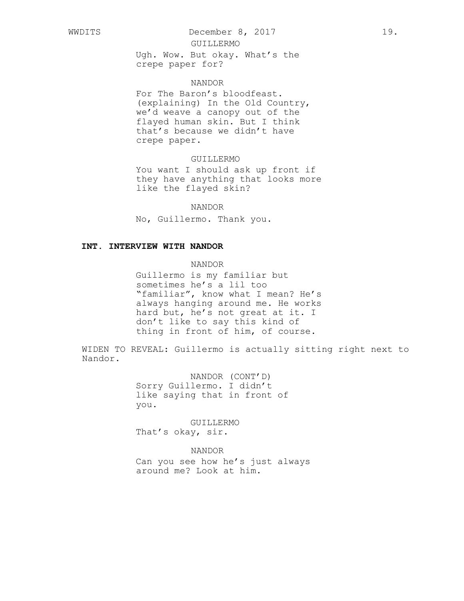WWDITS December 8, 2017 19.

### GUILLERMO

Ugh. Wow. But okay. What's the crepe paper for?

# NANDOR

For The Baron's bloodfeast. (explaining) In the Old Country, we'd weave a canopy out of the flayed human skin. But I think that's because we didn't have crepe paper.

# GUILLERMO

You want I should ask up front if they have anything that looks more like the flayed skin?

### NANDOR

No, Guillermo. Thank you.

### **INT. INTERVIEW WITH NANDOR**

NANDOR

Guillermo is my familiar but sometimes he's a lil too "familiar", know what I mean? He's always hanging around me. He works hard but, he's not great at it. I don't like to say this kind of thing in front of him, of course.

WIDEN TO REVEAL: Guillermo is actually sitting right next to Nandor.

> NANDOR (CONT'D) Sorry Guillermo. I didn't like saying that in front of you.

GUILLERMO That's okay, sir.

# NANDOR

Can you see how he's just always around me? Look at him.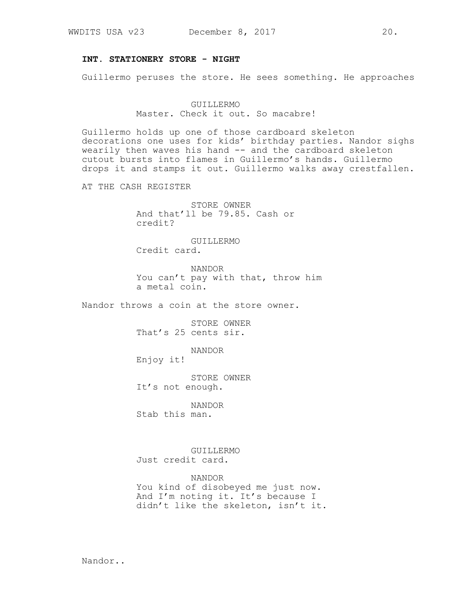# **INT. STATIONERY STORE - NIGHT**

Guillermo peruses the store. He sees something. He approaches

GUILLERMO Master. Check it out. So macabre!

Guillermo holds up one of those cardboard skeleton decorations one uses for kids' birthday parties. Nandor sighs wearily then waves his hand -- and the cardboard skeleton cutout bursts into flames in Guillermo's hands. Guillermo drops it and stamps it out. Guillermo walks away crestfallen.

AT THE CASH REGISTER

STORE OWNER And that'll be 79.85. Cash or credit?

GUILLERMO Credit card.

NANDOR You can't pay with that, throw him a metal coin.

Nandor throws a coin at the store owner.

STORE OWNER That's 25 cents sir.

NANDOR

Enjoy it!

STORE OWNER It's not enough.

NANDOR Stab this man.

GUILLERMO Just credit card.

NANDOR You kind of disobeyed me just now. And I'm noting it. It's because I didn't like the skeleton, isn't it.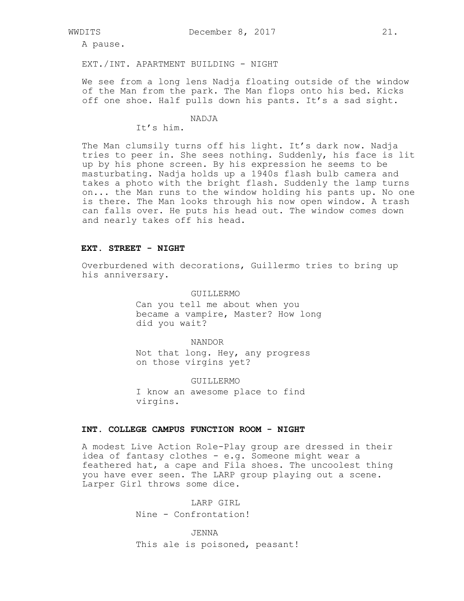A pause.

EXT./INT. APARTMENT BUILDING - NIGHT

We see from a long lens Nadja floating outside of the window of the Man from the park. The Man flops onto his bed. Kicks off one shoe. Half pulls down his pants. It's a sad sight.

# **NADJA**

# It's him.

The Man clumsily turns off his light. It's dark now. Nadja tries to peer in. She sees nothing. Suddenly, his face is lit up by his phone screen. By his expression he seems to be masturbating. Nadja holds up a 1940s flash bulb camera and takes a photo with the bright flash. Suddenly the lamp turns on... the Man runs to the window holding his pants up. No one is there. The Man looks through his now open window. A trash can falls over. He puts his head out. The window comes down and nearly takes off his head.

#### **EXT. STREET - NIGHT**

Overburdened with decorations, Guillermo tries to bring up his anniversary.

> GUILLERMO Can you tell me about when you became a vampire, Master? How long did you wait?

> > NANDOR

Not that long. Hey, any progress on those virgins yet?

GUILLERMO

I know an awesome place to find virgins.

### **INT. COLLEGE CAMPUS FUNCTION ROOM - NIGHT**

A modest Live Action Role-Play group are dressed in their idea of fantasy clothes - e.g. Someone might wear a feathered hat, a cape and Fila shoes. The uncoolest thing you have ever seen. The LARP group playing out a scene. Larper Girl throws some dice.

> LARP GIRL Nine - Confrontation!

JENNA This ale is poisoned, peasant!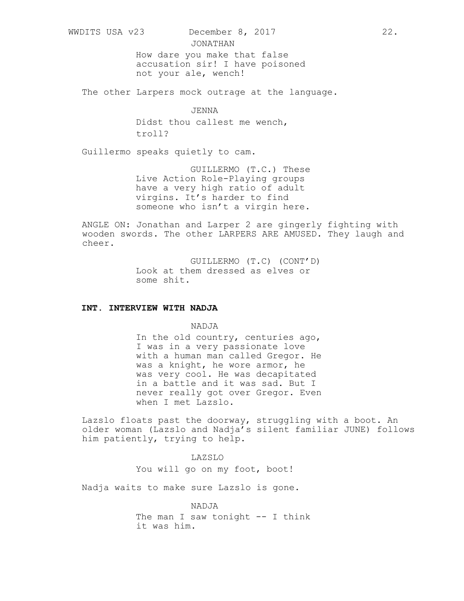WWDITS USA v23 December 8, 2017 22.

JONATHAN How dare you make that false accusation sir! I have poisoned not your ale, wench!

The other Larpers mock outrage at the language.

JENNA Didst thou callest me wench, troll?

Guillermo speaks quietly to cam.

GUILLERMO (T.C.) These Live Action Role-Playing groups have a very high ratio of adult virgins. It's harder to find someone who isn't a virgin here.

ANGLE ON: Jonathan and Larper 2 are gingerly fighting with wooden swords. The other LARPERS ARE AMUSED. They laugh and cheer.

> GUILLERMO (T.C) (CONT'D) Look at them dressed as elves or some shit.

### **INT. INTERVIEW WITH NADJA**

NADJA

In the old country, centuries ago, I was in a very passionate love with a human man called Gregor. He was a knight, he wore armor, he was very cool. He was decapitated in a battle and it was sad. But I never really got over Gregor. Even when I met Lazslo.

Lazslo floats past the doorway, struggling with a boot. An older woman (Lazslo and Nadja's silent familiar JUNE) follows him patiently, trying to help.

> LAZSLO You will go on my foot, boot!

Nadja waits to make sure Lazslo is gone.

NADJA The man I saw tonight -- I think it was him.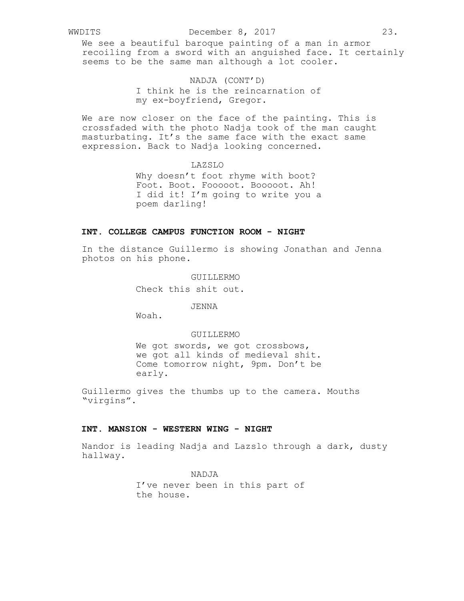### WWDITS December 8, 2017 23.

We see a beautiful baroque painting of a man in armor recoiling from a sword with an anguished face. It certainly seems to be the same man although a lot cooler.

# NADJA (CONT'D) I think he is the reincarnation of my ex-boyfriend, Gregor.

We are now closer on the face of the painting. This is crossfaded with the photo Nadja took of the man caught masturbating. It's the same face with the exact same expression. Back to Nadja looking concerned.

> LAZSLO Why doesn't foot rhyme with boot? Foot. Boot. Fooooot. Booooot. Ah! I did it! I'm going to write you a poem darling!

# **INT. COLLEGE CAMPUS FUNCTION ROOM - NIGHT**

In the distance Guillermo is showing Jonathan and Jenna photos on his phone.

#### GUILLERMO

Check this shit out.

#### JENNA

Woah.

### GUILLERMO

We got swords, we got crossbows, we got all kinds of medieval shit. Come tomorrow night, 9pm. Don't be early.

Guillermo gives the thumbs up to the camera. Mouths "virgins".

#### **INT. MANSION - WESTERN WING - NIGHT**

Nandor is leading Nadja and Lazslo through a dark, dusty hallway.

NADJA

I've never been in this part of the house.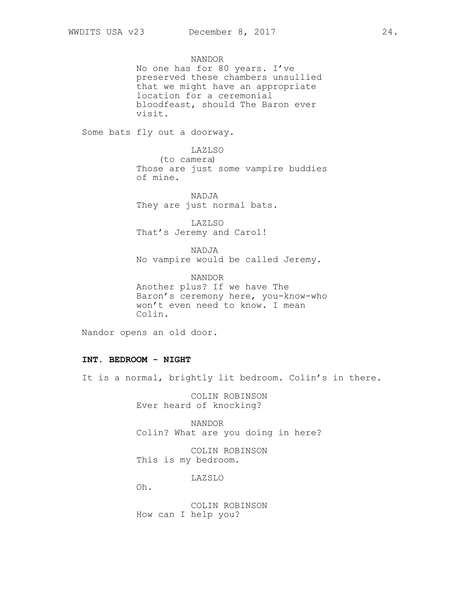NANDOR No one has for 80 years. I've preserved these chambers unsullied that we might have an appropriate location for a ceremonial bloodfeast, should The Baron ever visit.

Some bats fly out a doorway.

LAZLSO (to camera) Those are just some vampire buddies of mine.

NADJA They are just normal bats.

LAZLSO That's Jeremy and Carol!

NADJA No vampire would be called Jeremy.

NANDOR Another plus? If we have The Baron's ceremony here, you-know-who won't even need to know. I mean Colin.

Nandor opens an old door.

# **INT. BEDROOM - NIGHT**

It is a normal, brightly lit bedroom. Colin's in there.

COLIN ROBINSON Ever heard of knocking?

NANDOR Colin? What are you doing in here?

COLIN ROBINSON This is my bedroom.

LAZSLO

Oh.

COLIN ROBINSON How can I help you?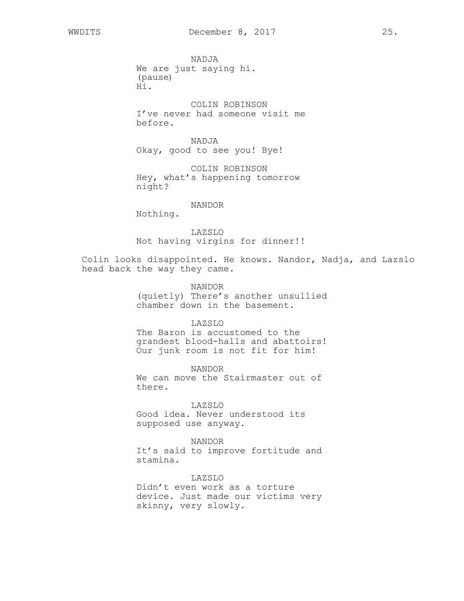NADJA We are just saying hi. (pause) Hi.

COLIN ROBINSON I've never had someone visit me before.

NADJA Okay, good to see you! Bye!

COLIN ROBINSON Hey, what's happening tomorrow night?

# NANDOR

Nothing.

LAZSLO Not having virgins for dinner!!

Colin looks disappointed. He knows. Nandor, Nadja, and Lazslo head back the way they came.

# NANDOR

(quietly) There's another unsullied chamber down in the basement.

# LAZSLO

The Baron is accustomed to the grandest blood-halls and abattoirs! Our junk room is not fit for him!

NANDOR We can move the Stairmaster out of there.

LAZSLO Good idea. Never understood its supposed use anyway.

NANDOR It's said to improve fortitude and stamina.

LAZSLO Didn't even work as a torture device. Just made our victims very skinny, very slowly.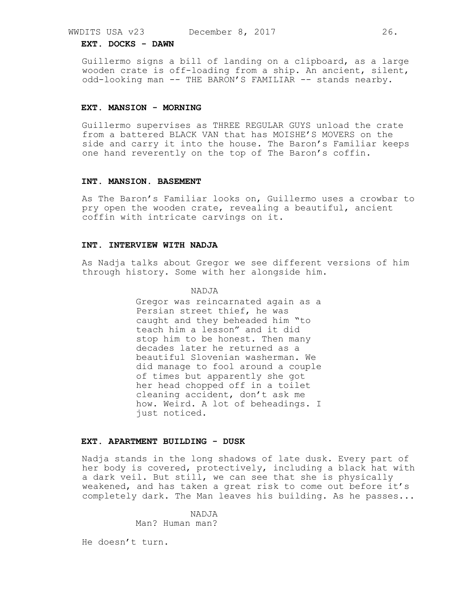### **EXT. DOCKS - DAWN**

Guillermo signs a bill of landing on a clipboard, as a large wooden crate is off-loading from a ship. An ancient, silent, odd-looking man -- THE BARON'S FAMILIAR -- stands nearby.

### **EXT. MANSION - MORNING**

Guillermo supervises as THREE REGULAR GUYS unload the crate from a battered BLACK VAN that has MOISHE'S MOVERS on the side and carry it into the house. The Baron's Familiar keeps one hand reverently on the top of The Baron's coffin.

### **INT. MANSION. BASEMENT**

As The Baron's Familiar looks on, Guillermo uses a crowbar to pry open the wooden crate, revealing a beautiful, ancient coffin with intricate carvings on it.

# **INT. INTERVIEW WITH NADJA**

As Nadja talks about Gregor we see different versions of him through history. Some with her alongside him.

### NADJA

Gregor was reincarnated again as a Persian street thief, he was caught and they beheaded him "to teach him a lesson" and it did stop him to be honest. Then many decades later he returned as a beautiful Slovenian washerman. We did manage to fool around a couple of times but apparently she got her head chopped off in a toilet cleaning accident, don't ask me how. Weird. A lot of beheadings. I just noticed.

### **EXT. APARTMENT BUILDING - DUSK**

Nadja stands in the long shadows of late dusk. Every part of her body is covered, protectively, including a black hat with a dark veil. But still, we can see that she is physically weakened, and has taken a great risk to come out before it's completely dark. The Man leaves his building. As he passes...

> NADJA Man? Human man?

He doesn't turn.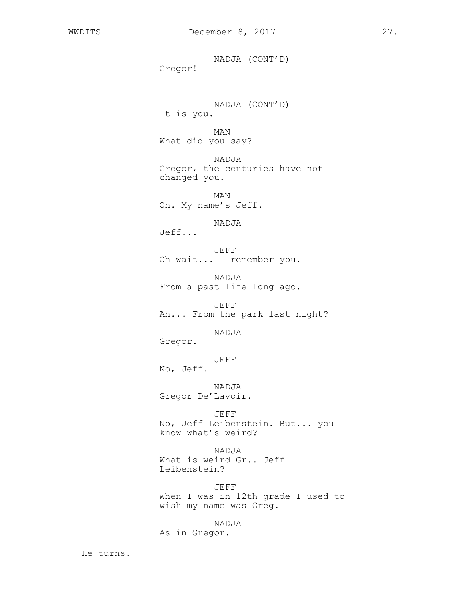NADJA (CONT'D) Gregor!

NADJA (CONT'D) It is you.

MAN What did you say?

NADJA Gregor, the centuries have not changed you.

MAN Oh. My name's Jeff.

NADJA Jeff...

JEFF Oh wait... I remember you.

NADJA From a past life long ago.

JEFF Ah... From the park last night?

NADJA

Gregor.

JEFF

No, Jeff.

NADJA Gregor De'Lavoir.

JEFF No, Jeff Leibenstein. But... you know what's weird?

NADJA What is weird Gr.. Jeff Leibenstein?

JEFF When I was in 12th grade I used to wish my name was Greg.

NADJA

As in Gregor.

He turns.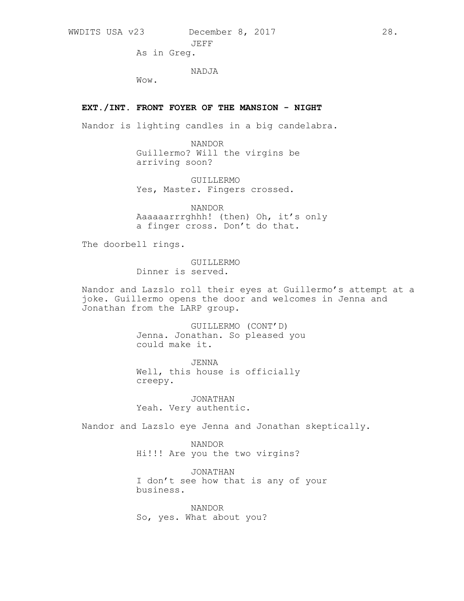WWDITS USA v23 December 8, 2017 28. JEFF

As in Greg.

NADJA

Wow.

# **EXT./INT. FRONT FOYER OF THE MANSION - NIGHT**

Nandor is lighting candles in a big candelabra.

NANDOR Guillermo? Will the virgins be arriving soon?

GUILLERMO Yes, Master. Fingers crossed.

NANDOR Aaaaaarrrghhh! (then) Oh, it's only a finger cross. Don't do that.

The doorbell rings.

GUILLERMO Dinner is served.

Nandor and Lazslo roll their eyes at Guillermo's attempt at a joke. Guillermo opens the door and welcomes in Jenna and Jonathan from the LARP group.

> GUILLERMO (CONT'D) Jenna. Jonathan. So pleased you could make it.

JENNA Well, this house is officially creepy.

JONATHAN Yeah. Very authentic.

Nandor and Lazslo eye Jenna and Jonathan skeptically.

NANDOR Hi!!! Are you the two virgins?

JONATHAN I don't see how that is any of your business.

NANDOR So, yes. What about you?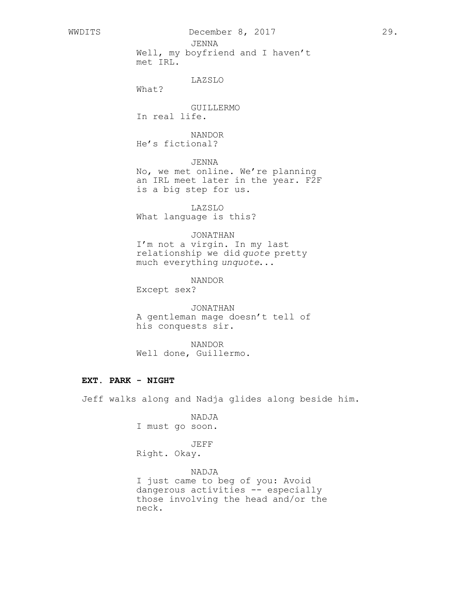JENNA

Well, my boyfriend and I haven't met IRL.

# LAZSLO

What?

GUILLERMO In real life.

NANDOR He's fictional?

# JENNA

No, we met online. We're planning an IRL meet later in the year. F2F is a big step for us.

LAZSLO What language is this?

# JONATHAN

I'm not a virgin. In my last relationship we did *quote* pretty much everything *unquote*...

NANDOR

Except sex?

JONATHAN A gentleman mage doesn't tell of his conquests sir.

NANDOR Well done, Guillermo.

# **EXT. PARK - NIGHT**

Jeff walks along and Nadja glides along beside him.

NADJA I must go soon.

#### JEFF

Right. Okay.

# NADJA

I just came to beg of you: Avoid dangerous activities -- especially those involving the head and/or the neck.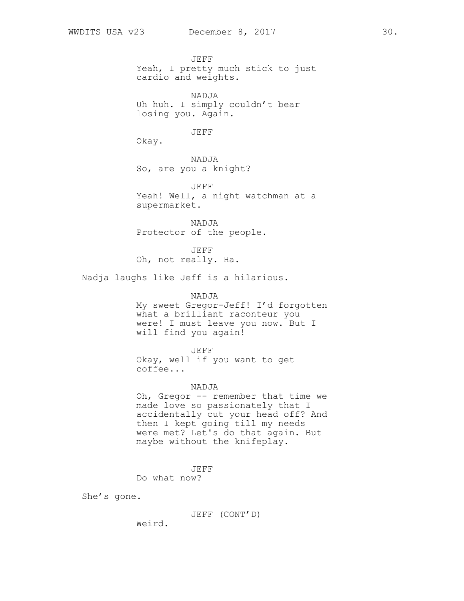JEFF Yeah, I pretty much stick to just cardio and weights.

NADJA Uh huh. I simply couldn't bear losing you. Again.

JEFF

Okay.

NADJA So, are you a knight?

JEFF Yeah! Well, a night watchman at a supermarket.

NADJA Protector of the people.

JEFF Oh, not really. Ha.

Nadja laughs like Jeff is a hilarious.

NADJA

My sweet Gregor-Jeff! I'd forgotten what a brilliant raconteur you were! I must leave you now. But I will find you again!

JEFF

Okay, well if you want to get coffee...

### NADJA

Oh, Gregor -- remember that time we made love so passionately that I accidentally cut your head off? And then I kept going till my needs were met? Let's do that again. But maybe without the knifeplay.

JEFF

Do what now?

She's gone.

JEFF (CONT'D)

Weird.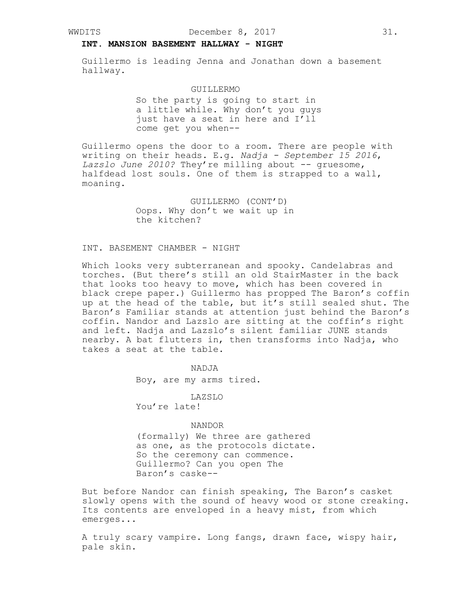# **INT. MANSION BASEMENT HALLWAY - NIGHT**

Guillermo is leading Jenna and Jonathan down a basement hallway.

### GUILLERMO

So the party is going to start in a little while. Why don't you guys just have a seat in here and I'll come get you when--

Guillermo opens the door to a room. There are people with writing on their heads. E.g. *Nadja - September 15 2016*, Lazslo June 2010? They're milling about -- gruesome, halfdead lost souls. One of them is strapped to a wall, moaning.

> GUILLERMO (CONT'D) Oops. Why don't we wait up in the kitchen?

# INT. BASEMENT CHAMBER - NIGHT

Which looks very subterranean and spooky. Candelabras and torches. (But there's still an old StairMaster in the back that looks too heavy to move, which has been covered in black crepe paper.) Guillermo has propped The Baron's coffin up at the head of the table, but it's still sealed shut. The Baron's Familiar stands at attention just behind the Baron's coffin. Nandor and Lazslo are sitting at the coffin's right and left. Nadja and Lazslo's silent familiar JUNE stands nearby. A bat flutters in, then transforms into Nadja, who takes a seat at the table.

> NADJA Boy, are my arms tired.

LAZSLO You're late!

# NANDOR

(formally) We three are gathered as one, as the protocols dictate. So the ceremony can commence. Guillermo? Can you open The Baron's caske--

But before Nandor can finish speaking, The Baron's casket slowly opens with the sound of heavy wood or stone creaking. Its contents are enveloped in a heavy mist, from which emerges...

A truly scary vampire. Long fangs, drawn face, wispy hair, pale skin.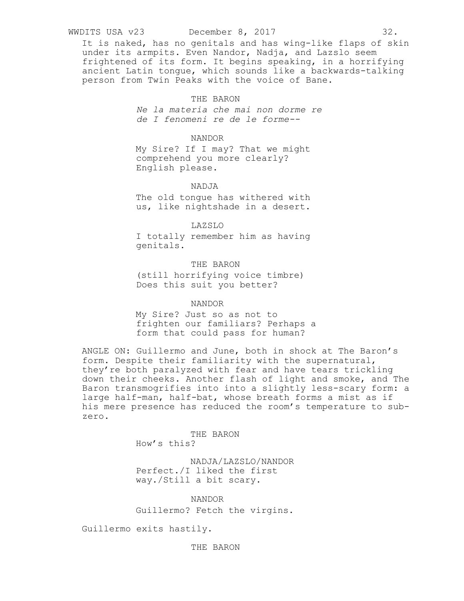#### WWDITS USA v23 December 8, 2017 32.

It is naked, has no genitals and has wing-like flaps of skin under its armpits. Even Nandor, Nadja, and Lazslo seem frightened of its form. It begins speaking, in a horrifying ancient Latin tongue, which sounds like a backwards-talking person from Twin Peaks with the voice of Bane.

### THE BARON

*Ne la materia che mai non dorme re de I fenomeni re de le forme--*

### NANDOR

My Sire? If I may? That we might comprehend you more clearly? English please.

### NADJA

The old tongue has withered with us, like nightshade in a desert.

### LAZSLO

I totally remember him as having genitals.

# THE BARON

(still horrifying voice timbre) Does this suit you better?

#### NANDOR

My Sire? Just so as not to frighten our familiars? Perhaps a form that could pass for human?

ANGLE ON: Guillermo and June, both in shock at The Baron's form. Despite their familiarity with the supernatural, they're both paralyzed with fear and have tears trickling down their cheeks. Another flash of light and smoke, and The Baron transmogrifies into into a slightly less-scary form: a large half-man, half-bat, whose breath forms a mist as if his mere presence has reduced the room's temperature to subzero.

> THE BARON How's this?

NADJA/LAZSLO/NANDOR Perfect./I liked the first way./Still a bit scary.

NANDOR

Guillermo? Fetch the virgins.

Guillermo exits hastily.

THE BARON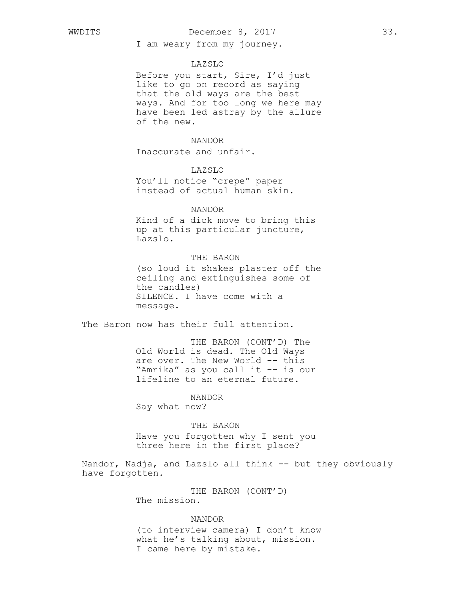# WWDITS December 8, 2017 33.

I am weary from my journey.

### LAZSLO

Before you start, Sire, I'd just like to go on record as saying that the old ways are the best ways. And for too long we here may have been led astray by the allure of the new.

### NANDOR

Inaccurate and unfair.

# LAZSLO

You'll notice "crepe" paper instead of actual human skin.

### NANDOR

Kind of a dick move to bring this up at this particular juncture, Lazslo.

# THE BARON

(so loud it shakes plaster off the ceiling and extinguishes some of the candles) SILENCE. I have come with a message.

The Baron now has their full attention.

THE BARON (CONT'D) The Old World is dead. The Old Ways are over. The New World -- this "Amrika" as you call it -- is our lifeline to an eternal future.

NANDOR Say what now?

### THE BARON

Have you forgotten why I sent you three here in the first place?

Nandor, Nadja, and Lazslo all think -- but they obviously have forgotten.

> THE BARON (CONT'D) The mission.

### NANDOR

(to interview camera) I don't know what he's talking about, mission. I came here by mistake.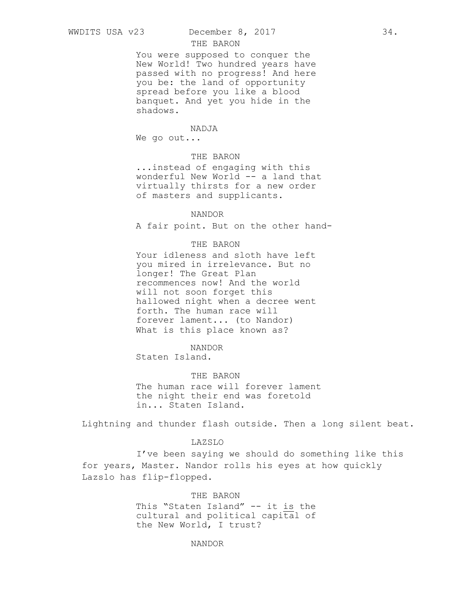# WWDITS USA v23 December 8, 2017 34.

# THE BARON

You were supposed to conquer the New World! Two hundred years have passed with no progress! And here you be: the land of opportunity spread before you like a blood banquet. And yet you hide in the shadows.

#### NADJA

We go out...

# THE BARON

...instead of engaging with this wonderful New World -- a land that virtually thirsts for a new order of masters and supplicants.

#### NANDOR

A fair point. But on the other hand-

### THE BARON

Your idleness and sloth have left you mired in irrelevance. But no longer! The Great Plan recommences now! And the world will not soon forget this hallowed night when a decree went forth. The human race will forever lament... (to Nandor) What is this place known as?

# NANDOR

Staten Island.

# THE BARON

The human race will forever lament the night their end was foretold in... Staten Island.

Lightning and thunder flash outside. Then a long silent beat.

# LAZSLO

I've been saying we should do something like this for years, Master. Nandor rolls his eyes at how quickly Lazslo has flip-flopped.

# THE BARON

This "Staten Island" -- it is the cultural and political capital of the New World, I trust?

# NANDOR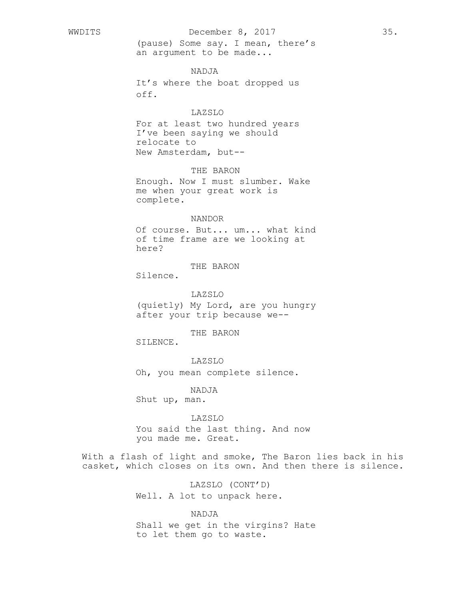(pause) Some say. I mean, there's an argument to be made...

# NADJA

It's where the boat dropped us off.

# LAZSLO

For at least two hundred years I've been saying we should relocate to New Amsterdam, but--

THE BARON

Enough. Now I must slumber. Wake me when your great work is complete.

### NANDOR

Of course. But... um... what kind of time frame are we looking at here?

THE BARON

Silence.

LAZSLO (quietly) My Lord, are you hungry after your trip because we--

THE BARON

SILENCE.

# LAZSLO

Oh, you mean complete silence.

NADJA

Shut up, man.

# LAZSLO

You said the last thing. And now you made me. Great.

With a flash of light and smoke, The Baron lies back in his casket, which closes on its own. And then there is silence.

> LAZSLO (CONT'D) Well. A lot to unpack here.

NADJA Shall we get in the virgins? Hate to let them go to waste.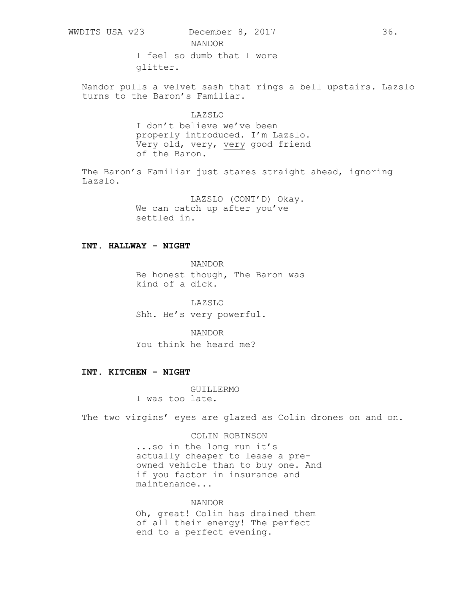NANDOR

I feel so dumb that I wore glitter.

Nandor pulls a velvet sash that rings a bell upstairs. Lazslo turns to the Baron's Familiar.

# LAZSLO I don't believe we've been properly introduced. I'm Lazslo. Very old, very, very good friend of the Baron.

The Baron's Familiar just stares straight ahead, ignoring Lazslo.

> LAZSLO (CONT'D) Okay. We can catch up after you've settled in.

### **INT. HALLWAY - NIGHT**

NANDOR Be honest though, The Baron was kind of a dick.

LAZSLO Shh. He's very powerful.

NANDOR You think he heard me?

# **INT. KITCHEN - NIGHT**

GUILLERMO I was too late.

The two virgins' eyes are glazed as Colin drones on and on.

COLIN ROBINSON

...so in the long run it's actually cheaper to lease a preowned vehicle than to buy one. And if you factor in insurance and maintenance...

NANDOR Oh, great! Colin has drained them of all their energy! The perfect end to a perfect evening.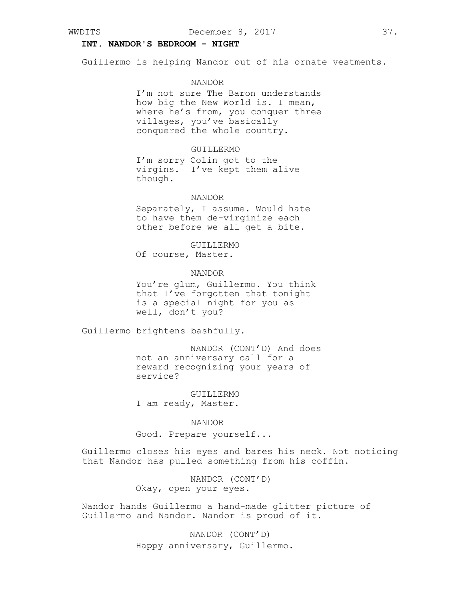# **INT. NANDOR'S BEDROOM - NIGHT**

Guillermo is helping Nandor out of his ornate vestments.

#### NANDOR

I'm not sure The Baron understands how big the New World is. I mean, where he's from, you conquer three villages, you've basically conquered the whole country.

# GUILLERMO

I'm sorry Colin got to the virgins. I've kept them alive though.

### NANDOR

Separately, I assume. Would hate to have them de-virginize each other before we all get a bite.

#### GUILLERMO

Of course, Master.

# NANDOR

You're glum, Guillermo. You think that I've forgotten that tonight is a special night for you as well, don't you?

Guillermo brightens bashfully.

NANDOR (CONT'D) And does not an anniversary call for a reward recognizing your years of service?

GUILLERMO I am ready, Master.

#### NANDOR

Good. Prepare yourself...

Guillermo closes his eyes and bares his neck. Not noticing that Nandor has pulled something from his coffin.

> NANDOR (CONT'D) Okay, open your eyes.

Nandor hands Guillermo a hand-made glitter picture of Guillermo and Nandor. Nandor is proud of it.

> NANDOR (CONT'D) Happy anniversary, Guillermo.